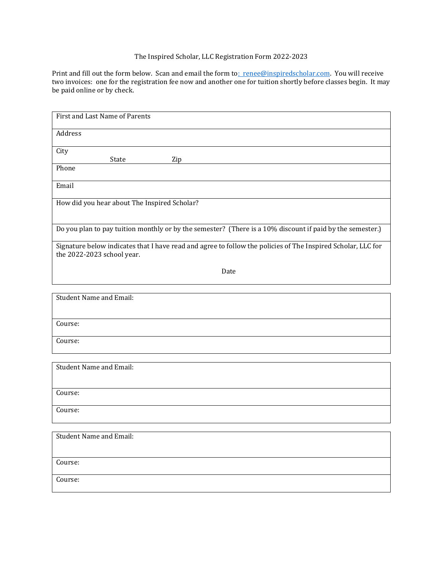## The Inspired Scholar, LLC Registration Form 2022-2023

Print and fill out the form below. Scan and email the form t[o: renee@inspiredscholar.com.](mailto:renee@inspiredscholar.com) You will receive two invoices: one for the registration fee now and another one for tuition shortly before classes begin. It may be paid online or by check.

| First and Last Name of Parents                                                                                                             |
|--------------------------------------------------------------------------------------------------------------------------------------------|
| Address                                                                                                                                    |
|                                                                                                                                            |
| City<br>State<br>Zip                                                                                                                       |
| Phone                                                                                                                                      |
| Email                                                                                                                                      |
| How did you hear about The Inspired Scholar?                                                                                               |
|                                                                                                                                            |
| Do you plan to pay tuition monthly or by the semester? (There is a 10% discount if paid by the semester.)                                  |
| Signature below indicates that I have read and agree to follow the policies of The Inspired Scholar, LLC for<br>the 2022-2023 school year. |
| Date                                                                                                                                       |
|                                                                                                                                            |
| <b>Student Name and Email:</b>                                                                                                             |
| Course:                                                                                                                                    |
| Course:                                                                                                                                    |
|                                                                                                                                            |
| <b>Student Name and Email:</b>                                                                                                             |
| Course:                                                                                                                                    |

Course:

| Student Name and Email: |  |
|-------------------------|--|
| Course:                 |  |
| Course:                 |  |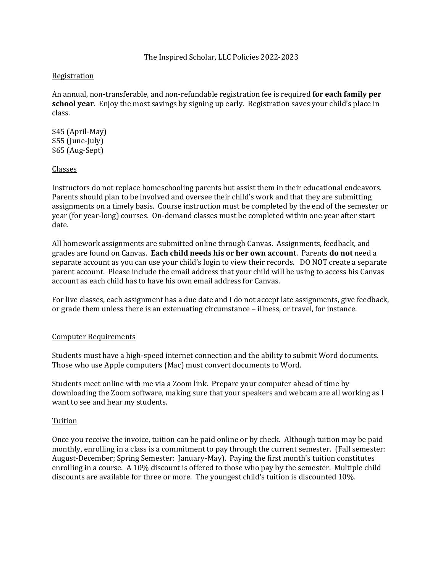### Registration

An annual, non-transferable, and non-refundable registration fee is required **for each family per school year**. Enjoy the most savings by signing up early. Registration saves your child's place in class.

\$45 (April-May) \$55 (June-July) \$65 (Aug-Sept)

#### Classes

Instructors do not replace homeschooling parents but assist them in their educational endeavors. Parents should plan to be involved and oversee their child's work and that they are submitting assignments on a timely basis. Course instruction must be completed by the end of the semester or year (for year-long) courses. On-demand classes must be completed within one year after start date.

All homework assignments are submitted online through Canvas. Assignments, feedback, and grades are found on Canvas. **Each child needs his or her own account**. Parents **do not** need a separate account as you can use your child's login to view their records. DO NOT create a separate parent account. Please include the email address that your child will be using to access his Canvas account as each child has to have his own email address for Canvas.

For live classes, each assignment has a due date and I do not accept late assignments, give feedback, or grade them unless there is an extenuating circumstance – illness, or travel, for instance.

#### Computer Requirements

Students must have a high-speed internet connection and the ability to submit Word documents. Those who use Apple computers (Mac) must convert documents to Word.

Students meet online with me via a Zoom link. Prepare your computer ahead of time by downloading the Zoom software, making sure that your speakers and webcam are all working as I want to see and hear my students.

#### Tuition

Once you receive the invoice, tuition can be paid online or by check. Although tuition may be paid monthly, enrolling in a class is a commitment to pay through the current semester. (Fall semester: August-December; Spring Semester: January-May). Paying the first month's tuition constitutes enrolling in a course. A 10% discount is offered to those who pay by the semester. Multiple child discounts are available for three or more. The youngest child's tuition is discounted 10%.